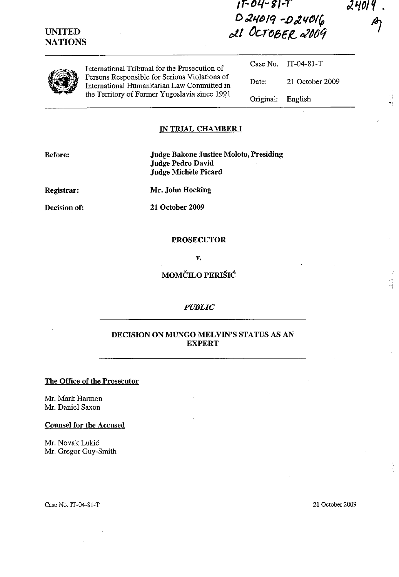## **UNITED NATIONS**

# *,r-OL(-***I',-T**  D*24019 -D24016 ell* ~Cr~5€R.. *tJll()tj*

International Tribunal for the Prosecution of Persons Responsible for Serious Violations of International Humanitarian Law Committed in the Territory of Former Yugoslavia since 1991

Case No. Date: Original: IT-04-81-T 21 October 2009 English

2401

 $\frac{1}{2}$ 

### **IN TRIAL CHAMBER I**

**Before:** 

**Judge Bakone Justice Moloto, Presiding Judge Pedro David Judge Michele Picard** 

**Registrar:** 

**Mr. John Hocking** 

**Decision of:** 

**21 October 2009** 

#### **PROSECUTOR**

v.

**MOMCILO PERISIC** 

#### *PUBLIC*

## **DECISION ON MUNGO MELVIN'S STATUS AS AN EXPERT**

#### **The Office of the Prosecutor**

Mr. Mark Harmon Mr. Daniel Saxon

#### **Counsel for the Accused**

Mr. Novak Lukic Mr. Gregor Guy-Smith

Case No. IT-04-S1-T 21 October 2009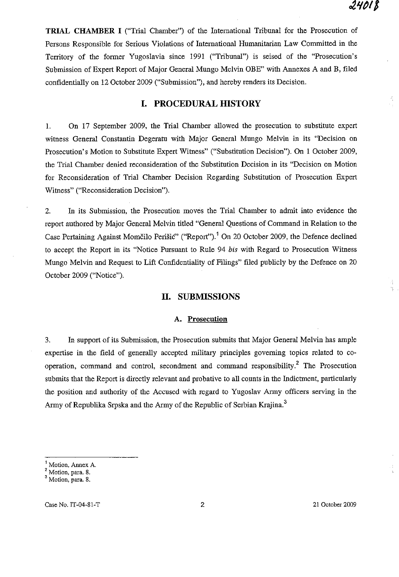$\frac{1}{2}$ 

 $\frac{3}{3}$ 

**TRIAL CHAMBER I** ("Trial Chamber") of the International Tribunal for the Prosecution of Persons Responsible for Serious Violations of International Humanitarian Law Committed in the Territory of the former Yugoslavia since 1991 ("Tribunal") is seised of the "Prosecution's Submission of Expert Report of Major General Mungo Melvin OBE" with Annexes A and B, filed confidentially on 12 October 2009 ("SUbmission"), and hereby renders its Decision.

## **I. PROCEDURAL mSTORY**

1. On 17 September 2009, the Trial Chamber allowed the prosecution to substitute expert witness General Constantin Degeratu with Major General Mungo Melvin in its "Decision on Prosecution's Motion to Substitute Expert Witness" ("Substitution Decision"). On 1 October 2009, the Trial Chamber denied reconsideration of the Substitution Decision in its "Decision on Motion for Reconsideration of Trial Chamber Decision Regarding Substitution of Prosecution Expert Witness" ("Reconsideration Decision").

2. In its Submission, the Prosecution moves the Trial Chamber to admit into evidence the report authored by Major General Melvin titled "General Questions of Command in Relation to the Case Pertaining Against Momčilo Perišić" ("Report").<sup>1</sup> On 20 October 2009, the Defence declined to accept the Report in its "Notice Pursuant to Rule 94 *bis* with Regard to Prosecution Witness Mungo Melvin and Request to Lift Confidentiality of Filings" filed publicly by the Defence on 20 October 2009 ("Notice").

### **II. SUBMISSIONS**

#### **A. Prosecution**

3. In support of its Submission, the Prosecution submits that Major General Melvin has ample expertise in the field of generally accepted military principles governing topics related to cooperation, command and control, secondment and command responsibility.2 The Prosecution submits that the Report is directly relevant and probative to all counts in the Indictment, particularly the position and authority of the Accnsed with regard to Yugoslav Army officers serving in the Army of Republika Srpska and the Army of the Republic of Serbian Krajina.<sup>3</sup>

Case No. IT-04-S1-T 2 21 October 2009

**<sup>1</sup> Motion, Annex A.** 

**<sup>2</sup> Motion, para. 8.** 

**<sup>3</sup> Motion, para. 8.**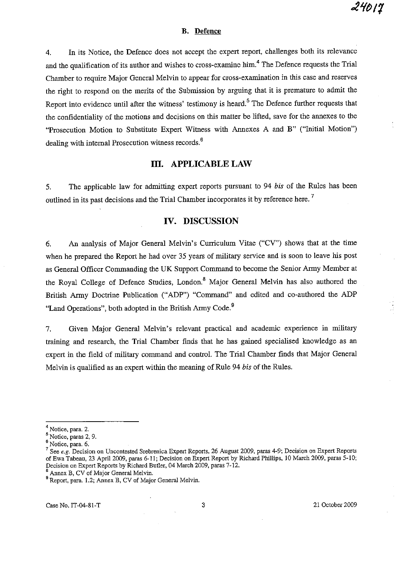#### **B. Defence**

4. In its Notice, the Defence does not accept the expert report, challenges both its relevance and the qualification of its author and wishes to cross-examine him.<sup>4</sup> The Defence requests the Trial Chamber to require Major General Melvin to appear for cross-examination in this case and reserves the right to respond on the merits of the Submission by arguing that it is premature to admit the Report into evidence until after the witness' testimony is heard.<sup>5</sup> The Defence further requests that the confidentiality of the motions and decisions on this matter be lifted, save for the annexes to the "Prosecution Motion to Substitute Expert Witness with Annexes A and B" ("Initial Motion") dealing with internal Prosecution witness records.<sup>6</sup>

## **Ill. APPLICABLE LAW**

5. The applicable law for admitting expert reports pursuant to 94 *his* of the Rules has been outlined in its past decisions and the Trial Chamber incorporates it by reference here.<sup>7</sup>

## **IV. DISCUSSION**

6. An analysis of Major General Melvin's Curriculum Vitae ("CV") shows that at the time when he prepared the Report he had over 35 years of military service and is soon to leave his post as General Officer Commanding the UK Support Command to become the Senior Army Member at the Royal College of Defence Studies, London.<sup>8</sup> Major General Melvin has also authored the British Army Doctrine Publication ("ADP") "Command" and edited and co-authored the ADP "Land Operations", both adopted in the British Army Code.<sup>9</sup>

7. Given Major General Melvin's relevant practical and academic experience in military training and research, the Trial Chamber finds that he has gained specialised knowledge as an expert in the field of military command and control. The Trial Chamber finds that Major General Melvin is qualified as an expert within the meaning of Rule 94 *bis* of the Rules.

<sup>&</sup>lt;sup>4</sup> Notice, para. 2.

<sup>5</sup> Notice, paras 2, 9.

**<sup>6</sup>Notice, para. 6.** 

**<sup>7</sup> See** *e.g.* **Decision on Uncontested Srebrenica Expert Reports, 26 August 2009, paras 4-9; Decision on Expert Reports**  of Ewa Tabeau, 23 April 2009, paras 6-11; Decision on Expert Report by Richard Phillips, 10 March 2009, paras 5-10; Decision on Expert Reports by Richard Butler, 04 March 2009, paras 7-12.

**<sup>8</sup> Annex B, CV of Major General Melvin.** 

<sup>9</sup> Report, para. 1.2; Annex B, CV of Major General Melvin.